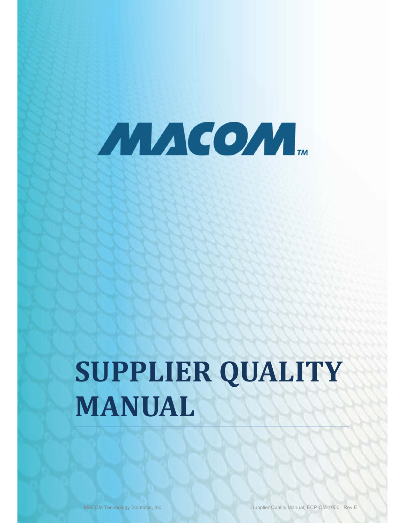

# **SUPPLIER QUALITY MANUAL**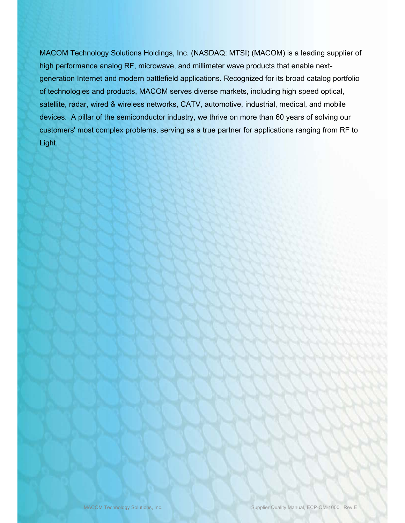MACOM Technology Solutions Holdings, Inc. (NASDAQ: MTSI) (MACOM) is a leading supplier of high performance analog RF, microwave, and millimeter wave products that enable nextgeneration Internet and modern battlefield applications. Recognized for its broad catalog portfolio of technologies and products, MACOM serves diverse markets, including high speed optical, satellite, radar, wired & wireless networks, CATV, automotive, industrial, medical, and mobile devices. A pillar of the semiconductor industry, we thrive on more than 60 years of solving our customers' most complex problems, serving as a true partner for applications ranging from RF to Light.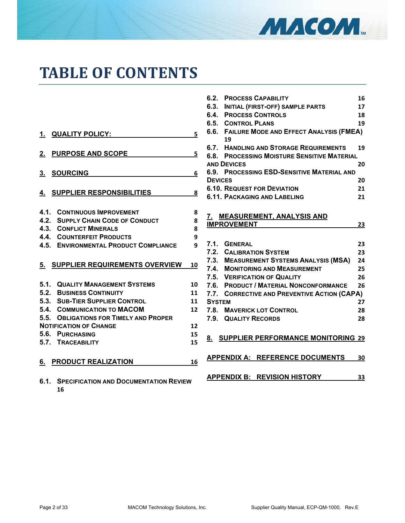

# **TABLE OF CONTENTS**

| <b>QUALITY POLICY:</b><br>1.                 | 5  |
|----------------------------------------------|----|
| <b>PURPOSE AND SCOPE</b><br>2.               | 5  |
| <b>SOURCING</b><br>3.                        | 6  |
| <b>4. SUPPLIER RESPONSIBILITIES</b>          | 8  |
| <b>4.1. CONTINUOUS IMPROVEMENT</b>           | 8  |
| <b>4.2. SUPPLY CHAIN CODE OF CONDUCT</b>     | 8  |
| <b>4.3. CONFLICT MINERALS</b>                | 8  |
| <b>4.4. COUNTERFEIT PRODUCTS</b>             | 9  |
| <b>4.5. ENVIRONMENTAL PRODUCT COMPLIANCE</b> | 9  |
| 5. SUPPLIER REQUIREMENTS OVERVIEW            | 10 |
| <b>5.1. QUALITY MANAGEMENT SYSTEMS</b>       | 10 |
| 5.2. BUSINESS CONTINUITY                     | 11 |
| 5.3. SUB-TIER SUPPLIER CONTROL               | 11 |
| 5.4. COMMUNICATION TO MACOM                  | 12 |
| 5.5. OBLIGATIONS FOR TIMELY AND PROPER       |    |
| <b>NOTIFICATION OF CHANGE</b>                | 12 |
| 5.6.<br><b>PURCHASING</b>                    | 15 |
| 5.7. TRACEABILITY                            | 15 |
| PRODUCT REALIZATION<br>6.                    | 16 |

**6.1. SPECIFICATION AND DOCUMENTATION REVIEW 16** 

| 6.2.           | <b>PROCESS CAPABILITY</b>                          | 16 |
|----------------|----------------------------------------------------|----|
| 6.3.           | <b>INITIAL (FIRST-OFF) SAMPLE PARTS</b>            | 17 |
| 6.4.           | <b>PROCESS CONTROLS</b>                            | 18 |
| 6.5.           | <b>CONTROL PLANS</b>                               | 19 |
| 6.6.           | <b>FAILURE MODE AND EFFECT ANALYSIS (FMEA)</b>     |    |
|                | 19                                                 |    |
|                | <b>6.7. HANDLING AND STORAGE REQUIREMENTS</b>      | 19 |
|                | <b>6.8. PROCESSING MOISTURE SENSITIVE MATERIAL</b> |    |
|                | <b>AND DEVICES</b>                                 | 20 |
|                | <b>6.9. PROCESSING ESD-SENSITIVE MATERIAL AND</b>  |    |
| <b>DEVICES</b> |                                                    | 20 |
|                | <b>6.10. REQUEST FOR DEVIATION</b>                 | 21 |
|                | <b>6.11. PACKAGING AND LABELING</b>                | 21 |
|                |                                                    |    |
|                | 7. MEASUREMENT, ANALYSIS AND                       |    |
|                | <b>IMPROVEMENT</b>                                 | 23 |
|                |                                                    |    |
|                | 7.1. GENERAL                                       | 23 |
|                | 7.2. CALIBRATION SYSTEM                            | 23 |
|                | 7.3. MEASUREMENT SYSTEMS ANALYSIS (MSA)            | 24 |
|                | 7.4. MONITORING AND MEASUREMENT                    | 25 |
|                | 7.5. VERIFICATION OF QUALITY                       | 26 |
|                | 7.6. PRODUCT / MATERIAL NONCONFORMANCE             | 26 |
|                | 7.7. CORRECTIVE AND PREVENTIVE ACTION (CAPA)       |    |
| <b>SYSTEM</b>  |                                                    | 27 |
|                | <b>7.8. MAVERICK LOT CONTROL</b>                   | 28 |
|                | 7.9. QUALITY RECORDS                               | 28 |
|                |                                                    |    |
|                |                                                    |    |
| 8.             | <b>SUPPLIER PERFORMANCE MONITORING 29</b>          |    |
|                |                                                    |    |
|                | <b>APPENDIX A: REFERENCE DOCUMENTS</b>             | 30 |
|                |                                                    |    |
|                | <b>APPENDIX B: REVISION HISTORY</b>                | 33 |
|                |                                                    |    |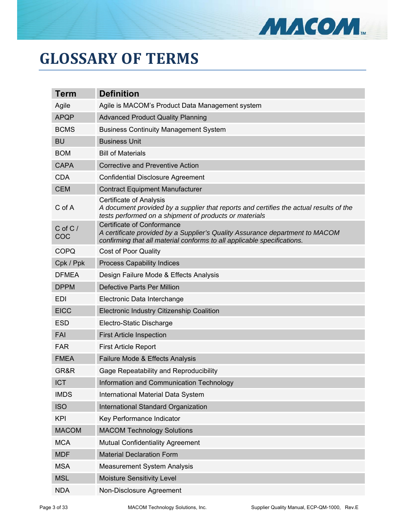

# **GLOSSARY OF TERMS**

| Term               | <b>Definition</b>                                                                                                                                                                            |
|--------------------|----------------------------------------------------------------------------------------------------------------------------------------------------------------------------------------------|
| Agile              | Agile is MACOM's Product Data Management system                                                                                                                                              |
| <b>APQP</b>        | <b>Advanced Product Quality Planning</b>                                                                                                                                                     |
| <b>BCMS</b>        | <b>Business Continuity Management System</b>                                                                                                                                                 |
| <b>BU</b>          | <b>Business Unit</b>                                                                                                                                                                         |
| <b>BOM</b>         | <b>Bill of Materials</b>                                                                                                                                                                     |
| <b>CAPA</b>        | <b>Corrective and Preventive Action</b>                                                                                                                                                      |
| <b>CDA</b>         | <b>Confidential Disclosure Agreement</b>                                                                                                                                                     |
| <b>CEM</b>         | <b>Contract Equipment Manufacturer</b>                                                                                                                                                       |
| C of A             | <b>Certificate of Analysis</b><br>A document provided by a supplier that reports and certifies the actual results of the<br>tests performed on a shipment of products or materials           |
| $C$ of $C/$<br>COC | <b>Certificate of Conformance</b><br>A certificate provided by a Supplier's Quality Assurance department to MACOM<br>confirming that all material conforms to all applicable specifications. |
| <b>COPQ</b>        | <b>Cost of Poor Quality</b>                                                                                                                                                                  |
| Cpk / Ppk          | <b>Process Capability Indices</b>                                                                                                                                                            |
| <b>DFMEA</b>       | Design Failure Mode & Effects Analysis                                                                                                                                                       |
| <b>DPPM</b>        | Defective Parts Per Million                                                                                                                                                                  |
| <b>EDI</b>         | Electronic Data Interchange                                                                                                                                                                  |
| <b>EICC</b>        | Electronic Industry Citizenship Coalition                                                                                                                                                    |
| <b>ESD</b>         | Electro-Static Discharge                                                                                                                                                                     |
| FAI                | <b>First Article Inspection</b>                                                                                                                                                              |
| <b>FAR</b>         | <b>First Article Report</b>                                                                                                                                                                  |
| <b>FMEA</b>        | Failure Mode & Effects Analysis                                                                                                                                                              |
| GR&R               | Gage Repeatability and Reproducibility                                                                                                                                                       |
| <b>ICT</b>         | Information and Communication Technology                                                                                                                                                     |
| <b>IMDS</b>        | International Material Data System                                                                                                                                                           |
| <b>ISO</b>         | International Standard Organization                                                                                                                                                          |
| <b>KPI</b>         | Key Performance Indicator                                                                                                                                                                    |
| <b>MACOM</b>       | <b>MACOM Technology Solutions</b>                                                                                                                                                            |
| <b>MCA</b>         | <b>Mutual Confidentiality Agreement</b>                                                                                                                                                      |
| <b>MDF</b>         | <b>Material Declaration Form</b>                                                                                                                                                             |
| <b>MSA</b>         | <b>Measurement System Analysis</b>                                                                                                                                                           |
| <b>MSL</b>         | <b>Moisture Sensitivity Level</b>                                                                                                                                                            |
| <b>NDA</b>         | Non-Disclosure Agreement                                                                                                                                                                     |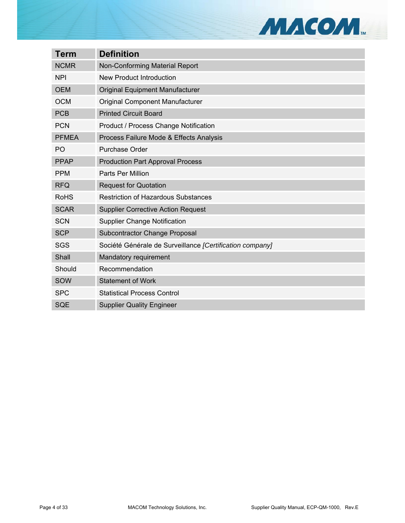

| <b>Term</b>    | <b>Definition</b>                                        |
|----------------|----------------------------------------------------------|
| <b>NCMR</b>    | Non-Conforming Material Report                           |
| <b>NPI</b>     | <b>New Product Introduction</b>                          |
| <b>OEM</b>     | <b>Original Equipment Manufacturer</b>                   |
| <b>OCM</b>     | <b>Original Component Manufacturer</b>                   |
| <b>PCB</b>     | <b>Printed Circuit Board</b>                             |
| <b>PCN</b>     | <b>Product / Process Change Notification</b>             |
| <b>PFMEA</b>   | Process Failure Mode & Effects Analysis                  |
| P <sub>O</sub> | <b>Purchase Order</b>                                    |
| <b>PPAP</b>    | <b>Production Part Approval Process</b>                  |
| <b>PPM</b>     | <b>Parts Per Million</b>                                 |
| <b>RFQ</b>     | <b>Request for Quotation</b>                             |
| <b>RoHS</b>    | <b>Restriction of Hazardous Substances</b>               |
| <b>SCAR</b>    | <b>Supplier Corrective Action Request</b>                |
| <b>SCN</b>     | <b>Supplier Change Notification</b>                      |
| <b>SCP</b>     | <b>Subcontractor Change Proposal</b>                     |
| <b>SGS</b>     | Société Générale de Surveillance [Certification company] |
| Shall          | Mandatory requirement                                    |
| Should         | Recommendation                                           |
| SOW            | <b>Statement of Work</b>                                 |
| <b>SPC</b>     | <b>Statistical Process Control</b>                       |
| <b>SQE</b>     | <b>Supplier Quality Engineer</b>                         |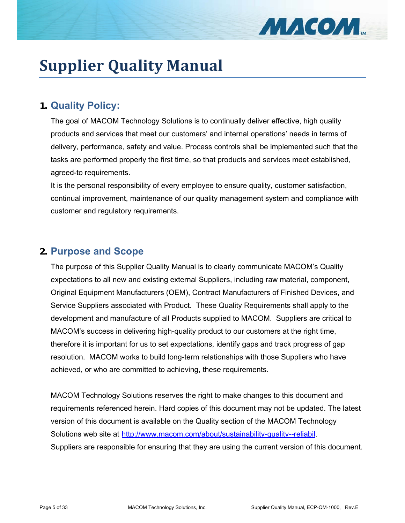

# **Supplier Quality Manual**

# **1. Quality Policy:**

The goal of MACOM Technology Solutions is to continually deliver effective, high quality products and services that meet our customers' and internal operations' needs in terms of delivery, performance, safety and value. Process controls shall be implemented such that the tasks are performed properly the first time, so that products and services meet established, agreed-to requirements.

It is the personal responsibility of every employee to ensure quality, customer satisfaction, continual improvement, maintenance of our quality management system and compliance with customer and regulatory requirements.

# **2. Purpose and Scope**

The purpose of this Supplier Quality Manual is to clearly communicate MACOM's Quality expectations to all new and existing external Suppliers, including raw material, component, Original Equipment Manufacturers (OEM), Contract Manufacturers of Finished Devices, and Service Suppliers associated with Product. These Quality Requirements shall apply to the development and manufacture of all Products supplied to MACOM. Suppliers are critical to MACOM's success in delivering high-quality product to our customers at the right time, therefore it is important for us to set expectations, identify gaps and track progress of gap resolution. MACOM works to build long-term relationships with those Suppliers who have achieved, or who are committed to achieving, these requirements.

MACOM Technology Solutions reserves the right to make changes to this document and requirements referenced herein. Hard copies of this document may not be updated. The latest version of this document is available on the Quality section of the MACOM Technology Solutions web site at http://www.macom.com/about/sustainability-quality--reliabil. Suppliers are responsible for ensuring that they are using the current version of this document.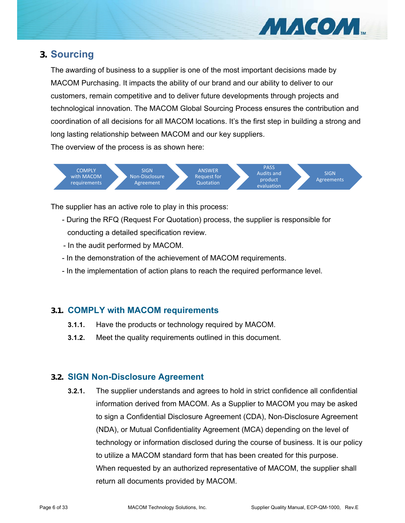

# **3. Sourcing**

The awarding of business to a supplier is one of the most important decisions made by MACOM Purchasing. It impacts the ability of our brand and our ability to deliver to our customers, remain competitive and to deliver future developments through projects and technological innovation. The MACOM Global Sourcing Process ensures the contribution and coordination of all decisions for all MACOM locations. It's the first step in building a strong and long lasting relationship between MACOM and our key suppliers.

The overview of the process is as shown here:



The supplier has an active role to play in this process:

- During the RFQ (Request For Quotation) process, the supplier is responsible for conducting a detailed specification review.
- In the audit performed by MACOM.
- In the demonstration of the achievement of MACOM requirements.
- In the implementation of action plans to reach the required performance level.

# **3.1. COMPLY with MACOM requirements**

- **3.1.1.** Have the products or technology required by MACOM.
- **3.1.2.** Meet the quality requirements outlined in this document.

# **3.2. SIGN Non-Disclosure Agreement**

**3.2.1.** The supplier understands and agrees to hold in strict confidence all confidential information derived from MACOM. As a Supplier to MACOM you may be asked to sign a Confidential Disclosure Agreement (CDA), Non-Disclosure Agreement (NDA), or Mutual Confidentiality Agreement (MCA) depending on the level of technology or information disclosed during the course of business. It is our policy to utilize a MACOM standard form that has been created for this purpose. When requested by an authorized representative of MACOM, the supplier shall return all documents provided by MACOM.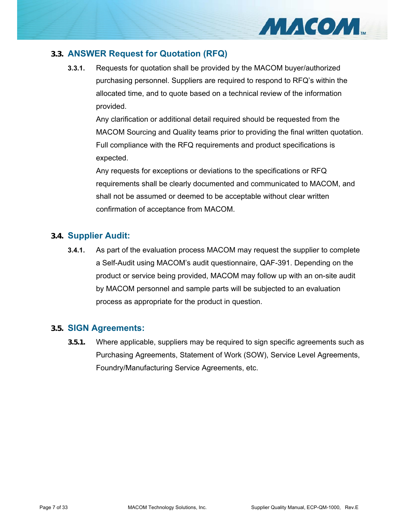

# **3.3. ANSWER Request for Quotation (RFQ)**

**3.3.1.** Requests for quotation shall be provided by the MACOM buyer/authorized purchasing personnel. Suppliers are required to respond to RFQ's within the allocated time, and to quote based on a technical review of the information provided.

Any clarification or additional detail required should be requested from the MACOM Sourcing and Quality teams prior to providing the final written quotation. Full compliance with the RFQ requirements and product specifications is expected.

Any requests for exceptions or deviations to the specifications or RFQ requirements shall be clearly documented and communicated to MACOM, and shall not be assumed or deemed to be acceptable without clear written confirmation of acceptance from MACOM.

#### **3.4. Supplier Audit:**

**3.4.1.** As part of the evaluation process MACOM may request the supplier to complete a Self-Audit using MACOM's audit questionnaire, QAF-391. Depending on the product or service being provided, MACOM may follow up with an on-site audit by MACOM personnel and sample parts will be subjected to an evaluation process as appropriate for the product in question.

#### **3.5. SIGN Agreements:**

**3.5.1.** Where applicable, suppliers may be required to sign specific agreements such as Purchasing Agreements, Statement of Work (SOW), Service Level Agreements, Foundry/Manufacturing Service Agreements, etc.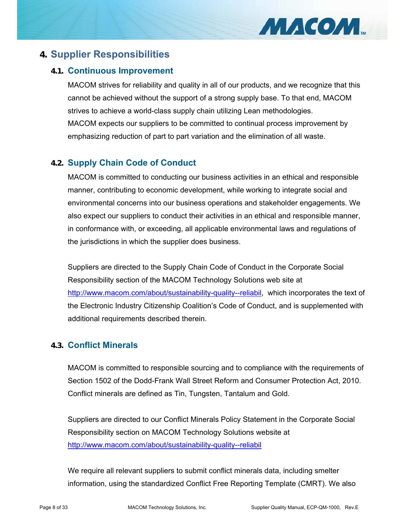

# **4. Supplier Responsibilities**

# **4.1. Continuous Improvement**

MACOM strives for reliability and quality in all of our products, and we recognize that this cannot be achieved without the support of a strong supply base. To that end, MACOM strives to achieve a world-class supply chain utilizing Lean methodologies. MACOM expects our suppliers to be committed to continual process improvement by emphasizing reduction of part to part variation and the elimination of all waste.

# **4.2. Supply Chain Code of Conduct**

MACOM is committed to conducting our business activities in an ethical and responsible manner, contributing to economic development, while working to integrate social and environmental concerns into our business operations and stakeholder engagements. We also expect our suppliers to conduct their activities in an ethical and responsible manner, in conformance with, or exceeding, all applicable environmental laws and regulations of the jurisdictions in which the supplier does business.

Suppliers are directed to the Supply Chain Code of Conduct in the Corporate Social Responsibility section of the MACOM Technology Solutions web site at http://www.macom.com/about/sustainability-quality--reliabil, which incorporates the text of the Electronic Industry Citizenship Coalition's Code of Conduct, and is supplemented with additional requirements described therein.

# **4.3. Conflict Minerals**

MACOM is committed to responsible sourcing and to compliance with the requirements of Section 1502 of the Dodd-Frank Wall Street Reform and Consumer Protection Act, 2010. Conflict minerals are defined as Tin, Tungsten, Tantalum and Gold.

Suppliers are directed to our Conflict Minerals Policy Statement in the Corporate Social Responsibility section on MACOM Technology Solutions website at http://www.macom.com/about/sustainability-quality--reliabil

We require all relevant suppliers to submit conflict minerals data, including smelter information, using the standardized Conflict Free Reporting Template (CMRT). We also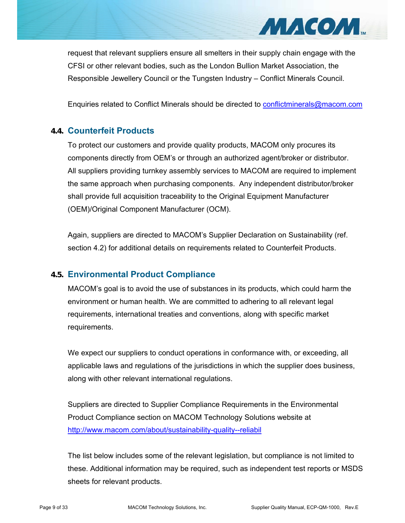

request that relevant suppliers ensure all smelters in their supply chain engage with the CFSI or other relevant bodies, such as the London Bullion Market Association, the Responsible Jewellery Council or the Tungsten Industry – Conflict Minerals Council.

Enquiries related to Conflict Minerals should be directed to conflictminerals@macom.com

# **4.4. Counterfeit Products**

To protect our customers and provide quality products, MACOM only procures its components directly from OEM's or through an authorized agent/broker or distributor. All suppliers providing turnkey assembly services to MACOM are required to implement the same approach when purchasing components. Any independent distributor/broker shall provide full acquisition traceability to the Original Equipment Manufacturer (OEM)/Original Component Manufacturer (OCM).

Again, suppliers are directed to MACOM's Supplier Declaration on Sustainability (ref. section 4.2) for additional details on requirements related to Counterfeit Products.

# **4.5. Environmental Product Compliance**

MACOM's goal is to avoid the use of substances in its products, which could harm the environment or human health. We are committed to adhering to all relevant legal requirements, international treaties and conventions, along with specific market requirements.

We expect our suppliers to conduct operations in conformance with, or exceeding, all applicable laws and regulations of the jurisdictions in which the supplier does business, along with other relevant international regulations.

Suppliers are directed to Supplier Compliance Requirements in the Environmental Product Compliance section on MACOM Technology Solutions website at http://www.macom.com/about/sustainability-quality--reliabil

The list below includes some of the relevant legislation, but compliance is not limited to these. Additional information may be required, such as independent test reports or MSDS sheets for relevant products.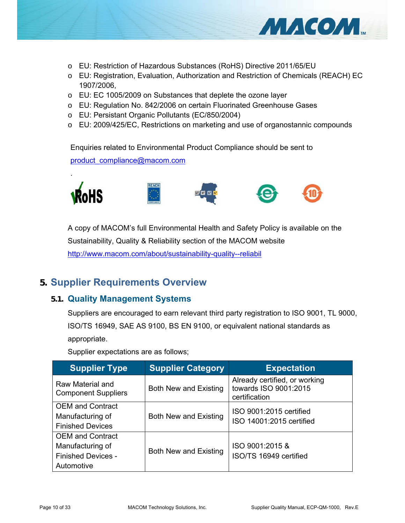

- o EU: Restriction of Hazardous Substances (RoHS) Directive 2011/65/EU
- o EU: Registration, Evaluation, Authorization and Restriction of Chemicals (REACH) EC 1907/2006,
- o EU: EC 1005/2009 on Substances that deplete the ozone layer
- o EU: Regulation No. 842/2006 on certain Fluorinated Greenhouse Gases
- o EU: Persistant Organic Pollutants (EC/850/2004)
- o EU: 2009/425/EC, Restrictions on marketing and use of organostannic compounds

Enquiries related to Environmental Product Compliance should be sent to product\_compliance@macom.com



A copy of MACOM's full Environmental Health and Safety Policy is available on the Sustainability, Quality & Reliability section of the MACOM website http://www.macom.com/about/sustainability-quality--reliabil

# **5. Supplier Requirements Overview**

.

#### **5.1. Quality Management Systems**

Suppliers are encouraged to earn relevant third party registration to ISO 9001, TL 9000, ISO/TS 16949, SAE AS 9100, BS EN 9100, or equivalent national standards as appropriate.

Supplier expectations are as follows;

| <b>Supplier Type</b>                                                                   | <b>Supplier Category</b>     | <b>Expectation</b>                                                      |
|----------------------------------------------------------------------------------------|------------------------------|-------------------------------------------------------------------------|
| Raw Material and<br><b>Component Suppliers</b>                                         | <b>Both New and Existing</b> | Already certified, or working<br>towards ISO 9001:2015<br>certification |
| <b>OEM</b> and Contract<br>Manufacturing of<br><b>Finished Devices</b>                 | <b>Both New and Existing</b> | ISO 9001:2015 certified<br>ISO 14001:2015 certified                     |
| <b>OEM</b> and Contract<br>Manufacturing of<br><b>Finished Devices -</b><br>Automotive | <b>Both New and Existing</b> | ISO 9001:2015 &<br>ISO/TS 16949 certified                               |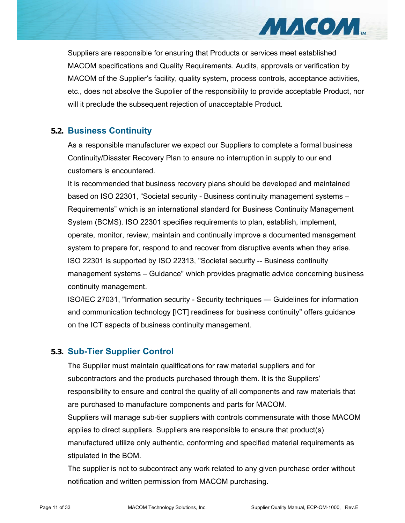Suppliers are responsible for ensuring that Products or services meet established MACOM specifications and Quality Requirements. Audits, approvals or verification by MACOM of the Supplier's facility, quality system, process controls, acceptance activities, etc., does not absolve the Supplier of the responsibility to provide acceptable Product, nor will it preclude the subsequent rejection of unacceptable Product.

# **5.2. Business Continuity**

As a responsible manufacturer we expect our Suppliers to complete a formal business Continuity/Disaster Recovery Plan to ensure no interruption in supply to our end customers is encountered.

It is recommended that business recovery plans should be developed and maintained based on ISO 22301, "Societal security - Business continuity management systems – Requirements" which is an international standard for Business Continuity Management System (BCMS). ISO 22301 specifies requirements to plan, establish, implement, operate, monitor, review, maintain and continually improve a documented management system to prepare for, respond to and recover from disruptive events when they arise. ISO 22301 is supported by ISO 22313, "Societal security -- Business continuity management systems – Guidance" which provides pragmatic advice concerning business continuity management.

ISO/IEC 27031, "Information security - Security techniques — Guidelines for information and communication technology [ICT] readiness for business continuity" offers guidance on the ICT aspects of business continuity management.

# **5.3. Sub-Tier Supplier Control**

The Supplier must maintain qualifications for raw material suppliers and for subcontractors and the products purchased through them. It is the Suppliers' responsibility to ensure and control the quality of all components and raw materials that are purchased to manufacture components and parts for MACOM. Suppliers will manage sub-tier suppliers with controls commensurate with those MACOM applies to direct suppliers. Suppliers are responsible to ensure that product(s) manufactured utilize only authentic, conforming and specified material requirements as stipulated in the BOM.

The supplier is not to subcontract any work related to any given purchase order without notification and written permission from MACOM purchasing.

МИСОМ...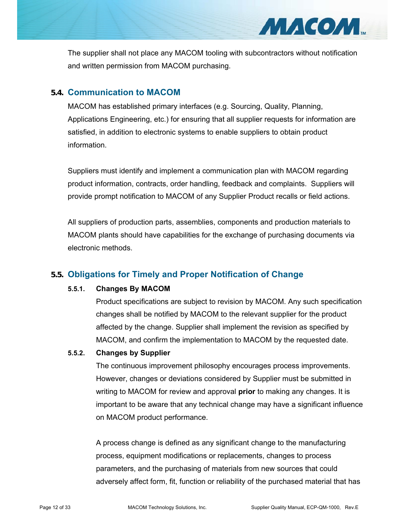The supplier shall not place any MACOM tooling with subcontractors without notification and written permission from MACOM purchasing.

#### **5.4. Communication to MACOM**

MACOM has established primary interfaces (e.g. Sourcing, Quality, Planning, Applications Engineering, etc.) for ensuring that all supplier requests for information are satisfied, in addition to electronic systems to enable suppliers to obtain product information.

Suppliers must identify and implement a communication plan with MACOM regarding product information, contracts, order handling, feedback and complaints. Suppliers will provide prompt notification to MACOM of any Supplier Product recalls or field actions.

All suppliers of production parts, assemblies, components and production materials to MACOM plants should have capabilities for the exchange of purchasing documents via electronic methods.

# **5.5. Obligations for Timely and Proper Notification of Change**

#### **5.5.1. Changes By MACOM**

Product specifications are subject to revision by MACOM. Any such specification changes shall be notified by MACOM to the relevant supplier for the product affected by the change. Supplier shall implement the revision as specified by MACOM, and confirm the implementation to MACOM by the requested date.

#### **5.5.2. Changes by Supplier**

The continuous improvement philosophy encourages process improvements. However, changes or deviations considered by Supplier must be submitted in writing to MACOM for review and approval **prior** to making any changes. It is important to be aware that any technical change may have a significant influence on MACOM product performance.

A process change is defined as any significant change to the manufacturing process, equipment modifications or replacements, changes to process parameters, and the purchasing of materials from new sources that could adversely affect form, fit, function or reliability of the purchased material that has

МАСОМ...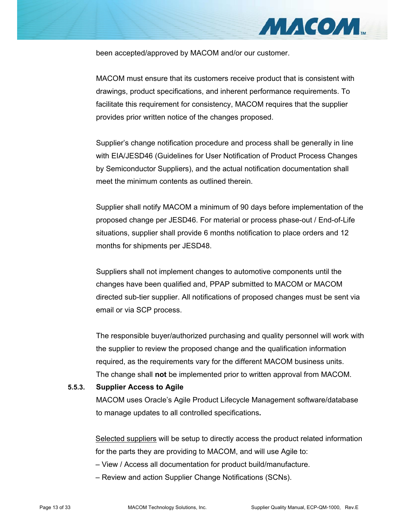

been accepted/approved by MACOM and/or our customer.

MACOM must ensure that its customers receive product that is consistent with drawings, product specifications, and inherent performance requirements. To facilitate this requirement for consistency, MACOM requires that the supplier provides prior written notice of the changes proposed.

Supplier's change notification procedure and process shall be generally in line with EIA/JESD46 (Guidelines for User Notification of Product Process Changes by Semiconductor Suppliers), and the actual notification documentation shall meet the minimum contents as outlined therein.

Supplier shall notify MACOM a minimum of 90 days before implementation of the proposed change per JESD46. For material or process phase-out / End-of-Life situations, supplier shall provide 6 months notification to place orders and 12 months for shipments per JESD48.

Suppliers shall not implement changes to automotive components until the changes have been qualified and, PPAP submitted to MACOM or MACOM directed sub-tier supplier. All notifications of proposed changes must be sent via email or via SCP process.

The responsible buyer/authorized purchasing and quality personnel will work with the supplier to review the proposed change and the qualification information required, as the requirements vary for the different MACOM business units. The change shall **not** be implemented prior to written approval from MACOM.

#### **5.5.3. Supplier Access to Agile**

MACOM uses Oracle's Agile Product Lifecycle Management software/database to manage updates to all controlled specifications**.** 

Selected suppliers will be setup to directly access the product related information for the parts they are providing to MACOM, and will use Agile to:

– View / Access all documentation for product build/manufacture.

– Review and action Supplier Change Notifications (SCNs).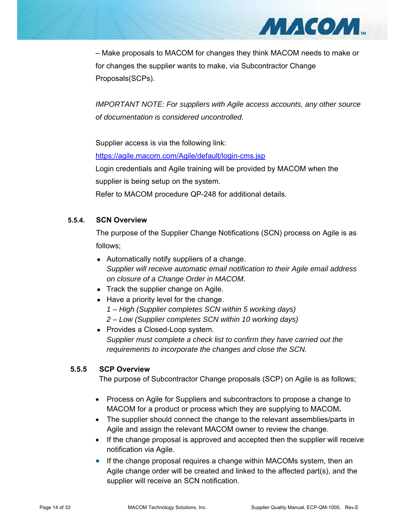

– Make proposals to MACOM for changes they think MACOM needs to make or for changes the supplier wants to make, via Subcontractor Change Proposals(SCPs).

*IMPORTANT NOTE: For suppliers with Agile access accounts, any other source of documentation is considered uncontrolled.*

Supplier access is via the following link:

https://agile.macom.com/Agile/default/login-cms.jsp

Login credentials and Agile training will be provided by MACOM when the supplier is being setup on the system.

Refer to MACOM procedure QP-248 for additional details.

#### **5.5.4. SCN Overview**

The purpose of the Supplier Change Notifications (SCN) process on Agile is as follows;

- Automatically notify suppliers of a change. *Supplier will receive automatic email notification to their Agile email address on closure of a Change Order in MACOM.*
- Track the supplier change on Agile.
- Have a priority level for the change.
	- *1 High (Supplier completes SCN within 5 working days)*
	- *2 Low (Supplier completes SCN within 10 working days)*
- Provides a Closed-Loop system. *Supplier must complete a check list to confirm they have carried out the requirements to incorporate the changes and close the SCN.*

#### **5.5.5 SCP Overview**

The purpose of Subcontractor Change proposals (SCP) on Agile is as follows;

- Process on Agile for Suppliers and subcontractors to propose a change to MACOM for a product or process which they are supplying to MACOM**.**
- The supplier should connect the change to the relevant assemblies/parts in Agile and assign the relevant MACOM owner to review the change.
- If the change proposal is approved and accepted then the supplier will receive notification via Agile.
- If the change proposal requires a change within MACOMs system, then an Agile change order will be created and linked to the affected part(s), and the supplier will receive an SCN notification.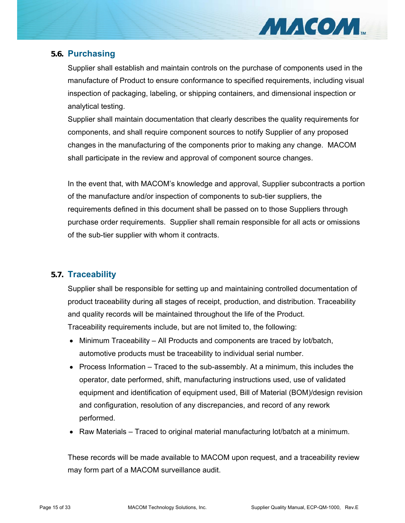

# **5.6. Purchasing**

Supplier shall establish and maintain controls on the purchase of components used in the manufacture of Product to ensure conformance to specified requirements, including visual inspection of packaging, labeling, or shipping containers, and dimensional inspection or analytical testing.

Supplier shall maintain documentation that clearly describes the quality requirements for components, and shall require component sources to notify Supplier of any proposed changes in the manufacturing of the components prior to making any change. MACOM shall participate in the review and approval of component source changes.

In the event that, with MACOM's knowledge and approval, Supplier subcontracts a portion of the manufacture and/or inspection of components to sub-tier suppliers, the requirements defined in this document shall be passed on to those Suppliers through purchase order requirements. Supplier shall remain responsible for all acts or omissions of the sub-tier supplier with whom it contracts.

# **5.7. Traceability**

Supplier shall be responsible for setting up and maintaining controlled documentation of product traceability during all stages of receipt, production, and distribution. Traceability and quality records will be maintained throughout the life of the Product. Traceability requirements include, but are not limited to, the following:

- Minimum Traceability All Products and components are traced by lot/batch, automotive products must be traceability to individual serial number.
- Process Information Traced to the sub-assembly. At a minimum, this includes the operator, date performed, shift, manufacturing instructions used, use of validated equipment and identification of equipment used, Bill of Material (BOM)/design revision and configuration, resolution of any discrepancies, and record of any rework performed.
- Raw Materials Traced to original material manufacturing lot/batch at a minimum.

These records will be made available to MACOM upon request, and a traceability review may form part of a MACOM surveillance audit.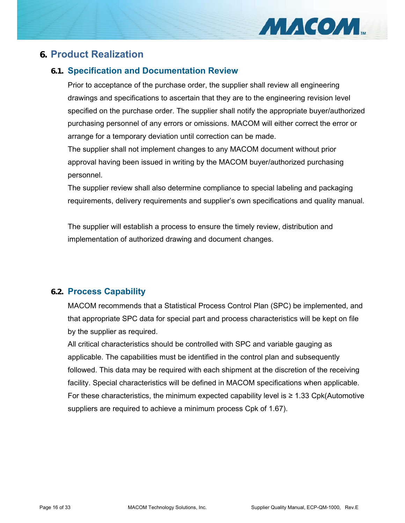

# **6. Product Realization**

# **6.1. Specification and Documentation Review**

Prior to acceptance of the purchase order, the supplier shall review all engineering drawings and specifications to ascertain that they are to the engineering revision level specified on the purchase order. The supplier shall notify the appropriate buyer/authorized purchasing personnel of any errors or omissions. MACOM will either correct the error or arrange for a temporary deviation until correction can be made.

The supplier shall not implement changes to any MACOM document without prior approval having been issued in writing by the MACOM buyer/authorized purchasing personnel.

The supplier review shall also determine compliance to special labeling and packaging requirements, delivery requirements and supplier's own specifications and quality manual.

The supplier will establish a process to ensure the timely review, distribution and implementation of authorized drawing and document changes.

# **6.2. Process Capability**

MACOM recommends that a Statistical Process Control Plan (SPC) be implemented, and that appropriate SPC data for special part and process characteristics will be kept on file by the supplier as required.

All critical characteristics should be controlled with SPC and variable gauging as applicable. The capabilities must be identified in the control plan and subsequently followed. This data may be required with each shipment at the discretion of the receiving facility. Special characteristics will be defined in MACOM specifications when applicable. For these characteristics, the minimum expected capability level is  $\geq 1.33$  Cpk(Automotive suppliers are required to achieve a minimum process Cpk of 1.67).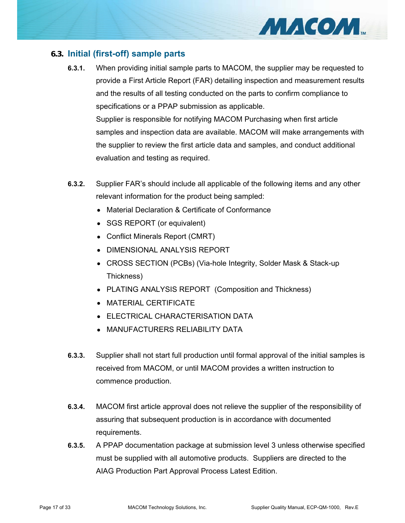# **6.3. Initial (first-off) sample parts**

- **6.3.1.** When providing initial sample parts to MACOM, the supplier may be requested to provide a First Article Report (FAR) detailing inspection and measurement results and the results of all testing conducted on the parts to confirm compliance to specifications or a PPAP submission as applicable. Supplier is responsible for notifying MACOM Purchasing when first article samples and inspection data are available. MACOM will make arrangements with the supplier to review the first article data and samples, and conduct additional evaluation and testing as required.
- **6.3.2.** Supplier FAR's should include all applicable of the following items and any other relevant information for the product being sampled:
	- Material Declaration & Certificate of Conformance
	- SGS REPORT (or equivalent)
	- Conflict Minerals Report (CMRT)
	- DIMENSIONAL ANALYSIS REPORT
	- CROSS SECTION (PCBs) (Via-hole Integrity, Solder Mask & Stack-up Thickness)
	- PLATING ANALYSIS REPORT (Composition and Thickness)
	- MATERIAL CERTIFICATE
	- ELECTRICAL CHARACTERISATION DATA
	- MANUFACTURERS RELIABILITY DATA
- **6.3.3.** Supplier shall not start full production until formal approval of the initial samples is received from MACOM, or until MACOM provides a written instruction to commence production.
- **6.3.4.** MACOM first article approval does not relieve the supplier of the responsibility of assuring that subsequent production is in accordance with documented requirements.
- **6.3.5.** A PPAP documentation package at submission level 3 unless otherwise specified must be supplied with all automotive products. Suppliers are directed to the AIAG Production Part Approval Process Latest Edition.

MACOM.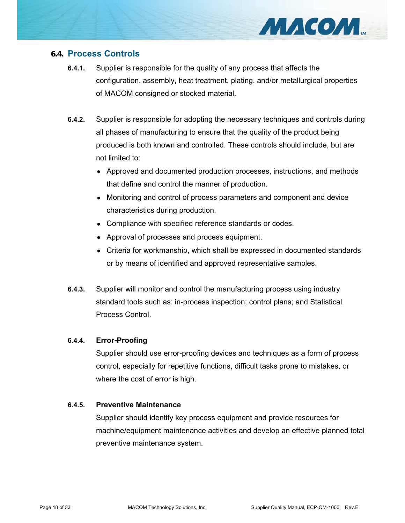

#### **6.4. Process Controls**

- **6.4.1.** Supplier is responsible for the quality of any process that affects the configuration, assembly, heat treatment, plating, and/or metallurgical properties of MACOM consigned or stocked material.
- **6.4.2.** Supplier is responsible for adopting the necessary techniques and controls during all phases of manufacturing to ensure that the quality of the product being produced is both known and controlled. These controls should include, but are not limited to:
	- Approved and documented production processes, instructions, and methods that define and control the manner of production.
	- Monitoring and control of process parameters and component and device characteristics during production.
	- Compliance with specified reference standards or codes.
	- Approval of processes and process equipment.
	- Criteria for workmanship, which shall be expressed in documented standards or by means of identified and approved representative samples.
- **6.4.3.** Supplier will monitor and control the manufacturing process using industry standard tools such as: in-process inspection; control plans; and Statistical Process Control.

#### **6.4.4. Error-Proofing**

Supplier should use error-proofing devices and techniques as a form of process control, especially for repetitive functions, difficult tasks prone to mistakes, or where the cost of error is high.

#### **6.4.5. Preventive Maintenance**

Supplier should identify key process equipment and provide resources for machine/equipment maintenance activities and develop an effective planned total preventive maintenance system.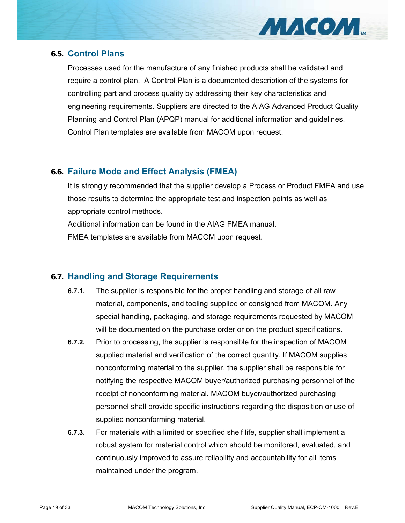

#### **6.5. Control Plans**

Processes used for the manufacture of any finished products shall be validated and require a control plan. A Control Plan is a documented description of the systems for controlling part and process quality by addressing their key characteristics and engineering requirements. Suppliers are directed to the AIAG Advanced Product Quality Planning and Control Plan (APQP) manual for additional information and guidelines. Control Plan templates are available from MACOM upon request.

# **6.6. Failure Mode and Effect Analysis (FMEA)**

It is strongly recommended that the supplier develop a Process or Product FMEA and use those results to determine the appropriate test and inspection points as well as appropriate control methods.

Additional information can be found in the AIAG FMEA manual.

FMEA templates are available from MACOM upon request.

# **6.7. Handling and Storage Requirements**

- **6.7.1.** The supplier is responsible for the proper handling and storage of all raw material, components, and tooling supplied or consigned from MACOM. Any special handling, packaging, and storage requirements requested by MACOM will be documented on the purchase order or on the product specifications.
- **6.7.2.** Prior to processing, the supplier is responsible for the inspection of MACOM supplied material and verification of the correct quantity. If MACOM supplies nonconforming material to the supplier, the supplier shall be responsible for notifying the respective MACOM buyer/authorized purchasing personnel of the receipt of nonconforming material. MACOM buyer/authorized purchasing personnel shall provide specific instructions regarding the disposition or use of supplied nonconforming material.
- **6.7.3.** For materials with a limited or specified shelf life, supplier shall implement a robust system for material control which should be monitored, evaluated, and continuously improved to assure reliability and accountability for all items maintained under the program.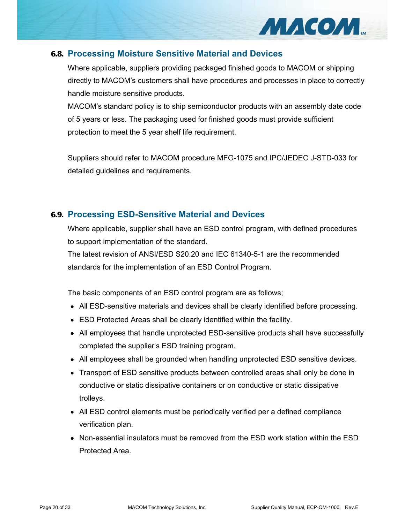

#### **6.8. Processing Moisture Sensitive Material and Devices**

Where applicable, suppliers providing packaged finished goods to MACOM or shipping directly to MACOM's customers shall have procedures and processes in place to correctly handle moisture sensitive products.

MACOM's standard policy is to ship semiconductor products with an assembly date code of 5 years or less. The packaging used for finished goods must provide sufficient protection to meet the 5 year shelf life requirement.

Suppliers should refer to MACOM procedure MFG-1075 and IPC/JEDEC J-STD-033 for detailed guidelines and requirements.

# **6.9. Processing ESD-Sensitive Material and Devices**

Where applicable, supplier shall have an ESD control program, with defined procedures to support implementation of the standard.

The latest revision of ANSI/ESD S20.20 and IEC 61340-5-1 are the recommended standards for the implementation of an ESD Control Program.

The basic components of an ESD control program are as follows;

- All ESD-sensitive materials and devices shall be clearly identified before processing.
- ESD Protected Areas shall be clearly identified within the facility.
- All employees that handle unprotected ESD-sensitive products shall have successfully completed the supplier's ESD training program.
- All employees shall be grounded when handling unprotected ESD sensitive devices.
- Transport of ESD sensitive products between controlled areas shall only be done in conductive or static dissipative containers or on conductive or static dissipative trolleys.
- All ESD control elements must be periodically verified per a defined compliance verification plan.
- Non-essential insulators must be removed from the ESD work station within the ESD Protected Area.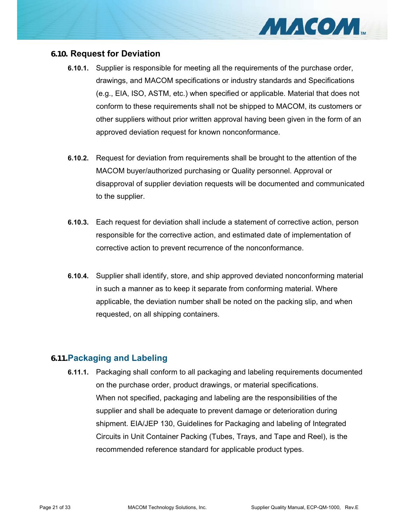

#### **6.10. Request for Deviation**

- **6.10.1.** Supplier is responsible for meeting all the requirements of the purchase order, drawings, and MACOM specifications or industry standards and Specifications (e.g., EIA, ISO, ASTM, etc.) when specified or applicable. Material that does not conform to these requirements shall not be shipped to MACOM, its customers or other suppliers without prior written approval having been given in the form of an approved deviation request for known nonconformance.
- **6.10.2.** Request for deviation from requirements shall be brought to the attention of the MACOM buyer/authorized purchasing or Quality personnel. Approval or disapproval of supplier deviation requests will be documented and communicated to the supplier.
- **6.10.3.** Each request for deviation shall include a statement of corrective action, person responsible for the corrective action, and estimated date of implementation of corrective action to prevent recurrence of the nonconformance.
- **6.10.4.** Supplier shall identify, store, and ship approved deviated nonconforming material in such a manner as to keep it separate from conforming material. Where applicable, the deviation number shall be noted on the packing slip, and when requested, on all shipping containers.

# **6.11.Packaging and Labeling**

**6.11.1.** Packaging shall conform to all packaging and labeling requirements documented on the purchase order, product drawings, or material specifications. When not specified, packaging and labeling are the responsibilities of the supplier and shall be adequate to prevent damage or deterioration during shipment. EIA/JEP 130, Guidelines for Packaging and labeling of Integrated Circuits in Unit Container Packing (Tubes, Trays, and Tape and Reel), is the recommended reference standard for applicable product types.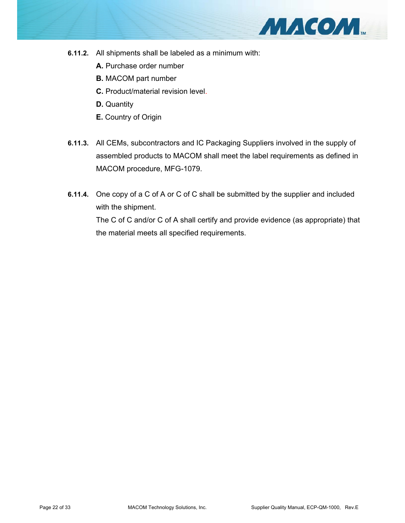

- **6.11.2.** All shipments shall be labeled as a minimum with:
	- **A.** Purchase order number
	- **B.** MACOM part number
	- **C.** Product/material revision level.
	- **D.** Quantity
	- **E.** Country of Origin
- **6.11.3.** All CEMs, subcontractors and IC Packaging Suppliers involved in the supply of assembled products to MACOM shall meet the label requirements as defined in MACOM procedure, MFG-1079.
- **6.11.4.** One copy of a C of A or C of C shall be submitted by the supplier and included with the shipment. The C of C and/or C of A shall certify and provide evidence (as appropriate) that the material meets all specified requirements.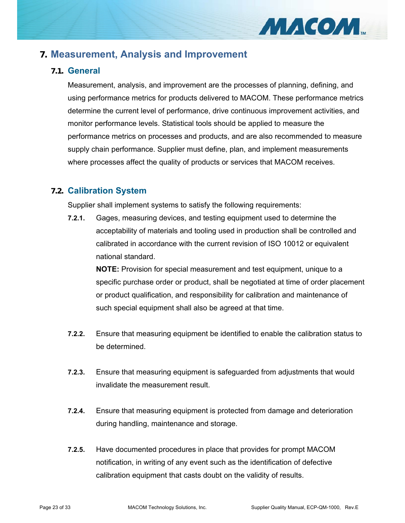

# **7. Measurement, Analysis and Improvement**

# **7.1. General**

Measurement, analysis, and improvement are the processes of planning, defining, and using performance metrics for products delivered to MACOM. These performance metrics determine the current level of performance, drive continuous improvement activities, and monitor performance levels. Statistical tools should be applied to measure the performance metrics on processes and products, and are also recommended to measure supply chain performance. Supplier must define, plan, and implement measurements where processes affect the quality of products or services that MACOM receives.

# **7.2. Calibration System**

Supplier shall implement systems to satisfy the following requirements:

**7.2.1.** Gages, measuring devices, and testing equipment used to determine the acceptability of materials and tooling used in production shall be controlled and calibrated in accordance with the current revision of ISO 10012 or equivalent national standard.

**NOTE:** Provision for special measurement and test equipment, unique to a specific purchase order or product, shall be negotiated at time of order placement or product qualification, and responsibility for calibration and maintenance of such special equipment shall also be agreed at that time.

- **7.2.2.** Ensure that measuring equipment be identified to enable the calibration status to be determined.
- **7.2.3.** Ensure that measuring equipment is safeguarded from adjustments that would invalidate the measurement result.
- **7.2.4.** Ensure that measuring equipment is protected from damage and deterioration during handling, maintenance and storage.
- **7.2.5.** Have documented procedures in place that provides for prompt MACOM notification, in writing of any event such as the identification of defective calibration equipment that casts doubt on the validity of results.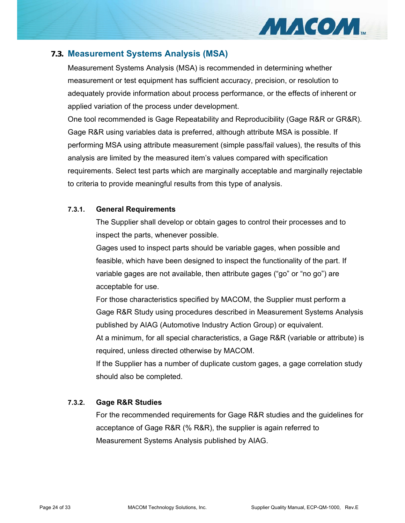

#### **7.3. Measurement Systems Analysis (MSA)**

Measurement Systems Analysis (MSA) is recommended in determining whether measurement or test equipment has sufficient accuracy, precision, or resolution to adequately provide information about process performance, or the effects of inherent or applied variation of the process under development.

One tool recommended is Gage Repeatability and Reproducibility (Gage R&R or GR&R). Gage R&R using variables data is preferred, although attribute MSA is possible. If performing MSA using attribute measurement (simple pass/fail values), the results of this analysis are limited by the measured item's values compared with specification requirements. Select test parts which are marginally acceptable and marginally rejectable to criteria to provide meaningful results from this type of analysis.

#### **7.3.1. General Requirements**

The Supplier shall develop or obtain gages to control their processes and to inspect the parts, whenever possible.

Gages used to inspect parts should be variable gages, when possible and feasible, which have been designed to inspect the functionality of the part. If variable gages are not available, then attribute gages ("go" or "no go") are acceptable for use.

For those characteristics specified by MACOM, the Supplier must perform a Gage R&R Study using procedures described in Measurement Systems Analysis published by AIAG (Automotive Industry Action Group) or equivalent.

At a minimum, for all special characteristics, a Gage R&R (variable or attribute) is required, unless directed otherwise by MACOM.

If the Supplier has a number of duplicate custom gages, a gage correlation study should also be completed.

#### **7.3.2. Gage R&R Studies**

For the recommended requirements for Gage R&R studies and the guidelines for acceptance of Gage R&R (% R&R), the supplier is again referred to Measurement Systems Analysis published by AIAG.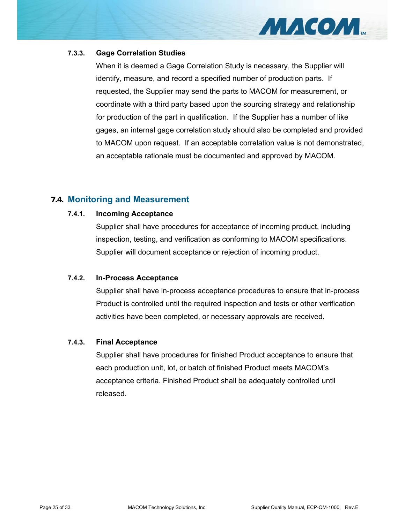

#### **7.3.3. Gage Correlation Studies**

When it is deemed a Gage Correlation Study is necessary, the Supplier will identify, measure, and record a specified number of production parts. If requested, the Supplier may send the parts to MACOM for measurement, or coordinate with a third party based upon the sourcing strategy and relationship for production of the part in qualification. If the Supplier has a number of like gages, an internal gage correlation study should also be completed and provided to MACOM upon request. If an acceptable correlation value is not demonstrated, an acceptable rationale must be documented and approved by MACOM.

#### **7.4. Monitoring and Measurement**

#### **7.4.1. Incoming Acceptance**

Supplier shall have procedures for acceptance of incoming product, including inspection, testing, and verification as conforming to MACOM specifications. Supplier will document acceptance or rejection of incoming product.

#### **7.4.2. In-Process Acceptance**

Supplier shall have in-process acceptance procedures to ensure that in-process Product is controlled until the required inspection and tests or other verification activities have been completed, or necessary approvals are received.

#### **7.4.3. Final Acceptance**

Supplier shall have procedures for finished Product acceptance to ensure that each production unit, lot, or batch of finished Product meets MACOM's acceptance criteria. Finished Product shall be adequately controlled until released.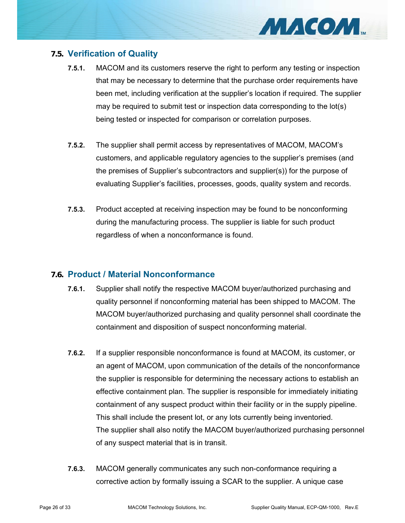

# **7.5. Verification of Quality**

- **7.5.1.** MACOM and its customers reserve the right to perform any testing or inspection that may be necessary to determine that the purchase order requirements have been met, including verification at the supplier's location if required. The supplier may be required to submit test or inspection data corresponding to the lot(s) being tested or inspected for comparison or correlation purposes.
- **7.5.2.** The supplier shall permit access by representatives of MACOM, MACOM's customers, and applicable regulatory agencies to the supplier's premises (and the premises of Supplier's subcontractors and supplier(s)) for the purpose of evaluating Supplier's facilities, processes, goods, quality system and records.
- **7.5.3.** Product accepted at receiving inspection may be found to be nonconforming during the manufacturing process. The supplier is liable for such product regardless of when a nonconformance is found.

# **7.6. Product / Material Nonconformance**

- **7.6.1.** Supplier shall notify the respective MACOM buyer/authorized purchasing and quality personnel if nonconforming material has been shipped to MACOM. The MACOM buyer/authorized purchasing and quality personnel shall coordinate the containment and disposition of suspect nonconforming material.
- **7.6.2.** If a supplier responsible nonconformance is found at MACOM, its customer, or an agent of MACOM, upon communication of the details of the nonconformance the supplier is responsible for determining the necessary actions to establish an effective containment plan. The supplier is responsible for immediately initiating containment of any suspect product within their facility or in the supply pipeline. This shall include the present lot, or any lots currently being inventoried. The supplier shall also notify the MACOM buyer/authorized purchasing personnel of any suspect material that is in transit.
- **7.6.3.** MACOM generally communicates any such non-conformance requiring a corrective action by formally issuing a SCAR to the supplier. A unique case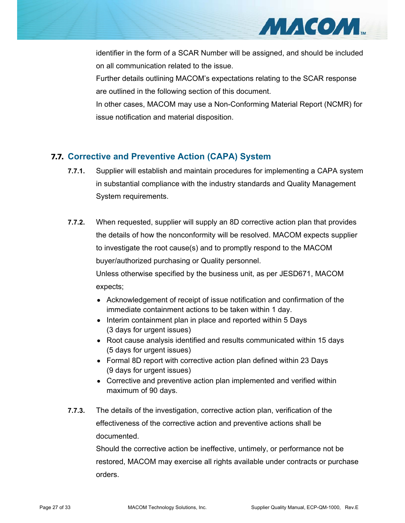

identifier in the form of a SCAR Number will be assigned, and should be included on all communication related to the issue.

Further details outlining MACOM's expectations relating to the SCAR response are outlined in the following section of this document.

In other cases, MACOM may use a Non-Conforming Material Report (NCMR) for issue notification and material disposition.

# **7.7. Corrective and Preventive Action (CAPA) System**

- **7.7.1.** Supplier will establish and maintain procedures for implementing a CAPA system in substantial compliance with the industry standards and Quality Management System requirements.
- **7.7.2.** When requested, supplier will supply an 8D corrective action plan that provides the details of how the nonconformity will be resolved. MACOM expects supplier to investigate the root cause(s) and to promptly respond to the MACOM buyer/authorized purchasing or Quality personnel. Unless otherwise specified by the business unit, as per JESD671, MACOM expects;
	- Acknowledgement of receipt of issue notification and confirmation of the immediate containment actions to be taken within 1 day.
	- Interim containment plan in place and reported within 5 Days (3 days for urgent issues)
	- Root cause analysis identified and results communicated within 15 days (5 days for urgent issues)
	- Formal 8D report with corrective action plan defined within 23 Days (9 days for urgent issues)
	- Corrective and preventive action plan implemented and verified within maximum of 90 days.
- **7.7.3.** The details of the investigation, corrective action plan, verification of the effectiveness of the corrective action and preventive actions shall be documented.

Should the corrective action be ineffective, untimely, or performance not be restored, MACOM may exercise all rights available under contracts or purchase orders.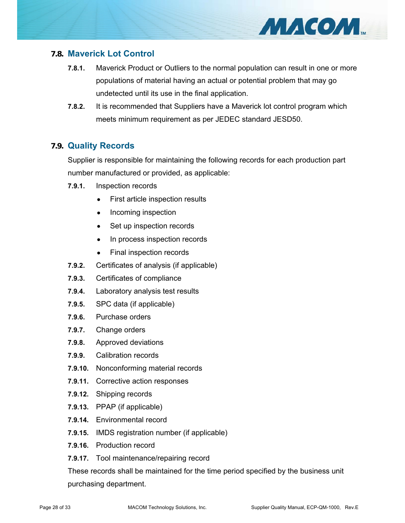# **7.8. Maverick Lot Control**

- **7.8.1.** Maverick Product or Outliers to the normal population can result in one or more populations of material having an actual or potential problem that may go undetected until its use in the final application.
- **7.8.2.** It is recommended that Suppliers have a Maverick lot control program which meets minimum requirement as per JEDEC standard JESD50.

#### **7.9. Quality Records**

Supplier is responsible for maintaining the following records for each production part number manufactured or provided, as applicable:

- **7.9.1.** Inspection records
	- First article inspection results
	- Incoming inspection
	- Set up inspection records
	- In process inspection records
	- Final inspection records
- **7.9.2.** Certificates of analysis (if applicable)
- **7.9.3.** Certificates of compliance
- **7.9.4.** Laboratory analysis test results
- **7.9.5.** SPC data (if applicable)
- **7.9.6.** Purchase orders
- **7.9.7.** Change orders
- **7.9.8.** Approved deviations
- **7.9.9.** Calibration records
- **7.9.10.** Nonconforming material records
- **7.9.11.** Corrective action responses
- **7.9.12.** Shipping records
- **7.9.13.** PPAP (if applicable)
- **7.9.14.** Environmental record
- **7.9.15.** IMDS registration number (if applicable)
- **7.9.16.** Production record
- **7.9.17.** Tool maintenance/repairing record

These records shall be maintained for the time period specified by the business unit purchasing department.

MACOM.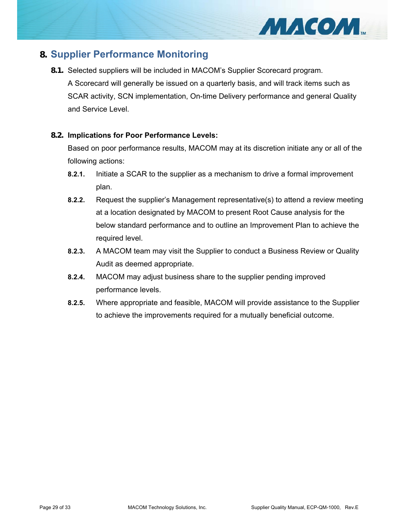

# **8. Supplier Performance Monitoring**

**8.1.** Selected suppliers will be included in MACOM's Supplier Scorecard program.

A Scorecard will generally be issued on a quarterly basis, and will track items such as SCAR activity, SCN implementation, On-time Delivery performance and general Quality and Service Level.

#### **8.2. Implications for Poor Performance Levels:**

Based on poor performance results, MACOM may at its discretion initiate any or all of the following actions:

- **8.2.1.** Initiate a SCAR to the supplier as a mechanism to drive a formal improvement plan.
- **8.2.2.** Request the supplier's Management representative(s) to attend a review meeting at a location designated by MACOM to present Root Cause analysis for the below standard performance and to outline an Improvement Plan to achieve the required level.
- **8.2.3.** A MACOM team may visit the Supplier to conduct a Business Review or Quality Audit as deemed appropriate.
- **8.2.4.** MACOM may adjust business share to the supplier pending improved performance levels.
- **8.2.5.** Where appropriate and feasible, MACOM will provide assistance to the Supplier to achieve the improvements required for a mutually beneficial outcome.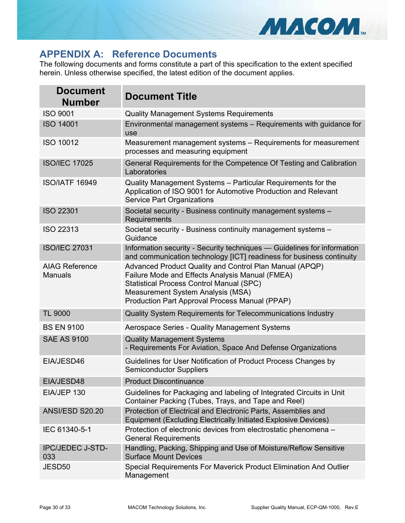

# **APPENDIX A: Reference Documents**

The following documents and forms constitute a part of this specification to the extent specified herein. Unless otherwise specified, the latest edition of the document applies.

| <b>Document</b><br><b>Number</b>        | <b>Document Title</b>                                                                                                                                                                                                                                |  |
|-----------------------------------------|------------------------------------------------------------------------------------------------------------------------------------------------------------------------------------------------------------------------------------------------------|--|
| <b>ISO 9001</b>                         | <b>Quality Management Systems Requirements</b>                                                                                                                                                                                                       |  |
| <b>ISO 14001</b>                        | Environmental management systems - Requirements with guidance for<br>use                                                                                                                                                                             |  |
| <b>ISO 10012</b>                        | Measurement management systems – Requirements for measurement<br>processes and measuring equipment                                                                                                                                                   |  |
| <b>ISO/IEC 17025</b>                    | General Requirements for the Competence Of Testing and Calibration<br>Laboratories                                                                                                                                                                   |  |
| <b>ISO/IATF 16949</b>                   | Quality Management Systems - Particular Requirements for the<br>Application of ISO 9001 for Automotive Production and Relevant<br><b>Service Part Organizations</b>                                                                                  |  |
| <b>ISO 22301</b>                        | Societal security - Business continuity management systems -<br>Requirements                                                                                                                                                                         |  |
| <b>ISO 22313</b>                        | Societal security - Business continuity management systems -<br>Guidance                                                                                                                                                                             |  |
| <b>ISO/IEC 27031</b>                    | Information security - Security techniques - Guidelines for information<br>and communication technology [ICT] readiness for business continuity                                                                                                      |  |
| <b>AIAG Reference</b><br><b>Manuals</b> | Advanced Product Quality and Control Plan Manual (APQP)<br>Failure Mode and Effects Analysis Manual (FMEA)<br><b>Statistical Process Control Manual (SPC)</b><br>Measurement System Analysis (MSA)<br>Production Part Approval Process Manual (PPAP) |  |
| <b>TL 9000</b>                          | Quality System Requirements for Telecommunications Industry                                                                                                                                                                                          |  |
| <b>BS EN 9100</b>                       | Aerospace Series - Quality Management Systems                                                                                                                                                                                                        |  |
| <b>SAE AS 9100</b>                      | <b>Quality Management Systems</b><br>- Requirements For Aviation, Space And Defense Organizations                                                                                                                                                    |  |
| EIA/JESD46                              | Guidelines for User Notification of Product Process Changes by<br><b>Semiconductor Suppliers</b>                                                                                                                                                     |  |
| EIA/JESD48                              | <b>Product Discontinuance</b>                                                                                                                                                                                                                        |  |
| EIA/JEP 130                             | Guidelines for Packaging and labeling of Integrated Circuits in Unit<br>Container Packing (Tubes, Trays, and Tape and Reel)                                                                                                                          |  |
| <b>ANSI/ESD S20.20</b>                  | Protection of Electrical and Electronic Parts, Assemblies and<br><b>Equipment (Excluding Electrically Initiated Explosive Devices)</b>                                                                                                               |  |
| IEC 61340-5-1                           | Protection of electronic devices from electrostatic phenomena -<br><b>General Requirements</b>                                                                                                                                                       |  |
| <b>IPC/JEDEC J-STD-</b><br>033          | Handling, Packing, Shipping and Use of Moisture/Reflow Sensitive<br><b>Surface Mount Devices</b>                                                                                                                                                     |  |
| JESD <sub>50</sub>                      | Special Requirements For Maverick Product Elimination And Outlier<br>Management                                                                                                                                                                      |  |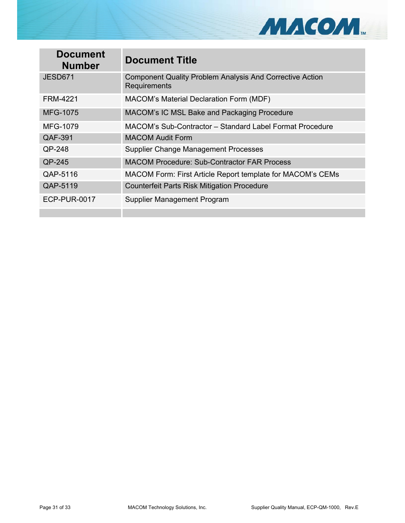

| <b>Document</b><br><b>Number</b> | <b>Document Title</b>                                                                  |  |
|----------------------------------|----------------------------------------------------------------------------------------|--|
| <b>JESD671</b>                   | <b>Component Quality Problem Analysis And Corrective Action</b><br><b>Requirements</b> |  |
| <b>FRM-4221</b>                  | <b>MACOM's Material Declaration Form (MDF)</b>                                         |  |
| <b>MFG-1075</b>                  | MACOM's IC MSL Bake and Packaging Procedure                                            |  |
| <b>MFG-1079</b>                  | MACOM's Sub-Contractor – Standard Label Format Procedure                               |  |
| QAF-391                          | <b>MACOM Audit Form</b>                                                                |  |
| QP-248                           | <b>Supplier Change Management Processes</b>                                            |  |
| QP-245                           | <b>MACOM Procedure: Sub-Contractor FAR Process</b>                                     |  |
| QAP-5116                         | MACOM Form: First Article Report template for MACOM's CEMs                             |  |
| QAP-5119                         | <b>Counterfeit Parts Risk Mitigation Procedure</b>                                     |  |
| <b>ECP-PUR-0017</b>              | Supplier Management Program                                                            |  |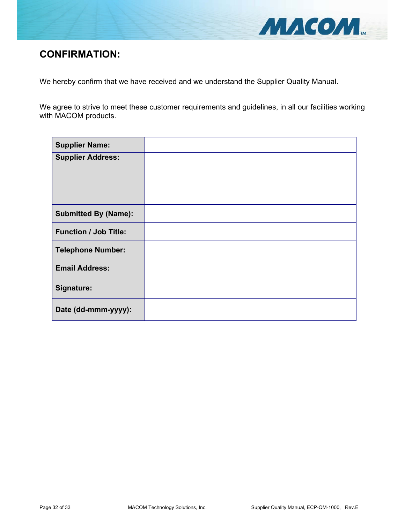

# **CONFIRMATION:**

We hereby confirm that we have received and we understand the Supplier Quality Manual.

We agree to strive to meet these customer requirements and guidelines, in all our facilities working with MACOM products.

| <b>Supplier Name:</b>        |  |
|------------------------------|--|
| <b>Supplier Address:</b>     |  |
|                              |  |
| <b>Submitted By (Name):</b>  |  |
| <b>Function / Job Title:</b> |  |
| <b>Telephone Number:</b>     |  |
| <b>Email Address:</b>        |  |
| Signature:                   |  |
| Date (dd-mmm-yyyy):          |  |